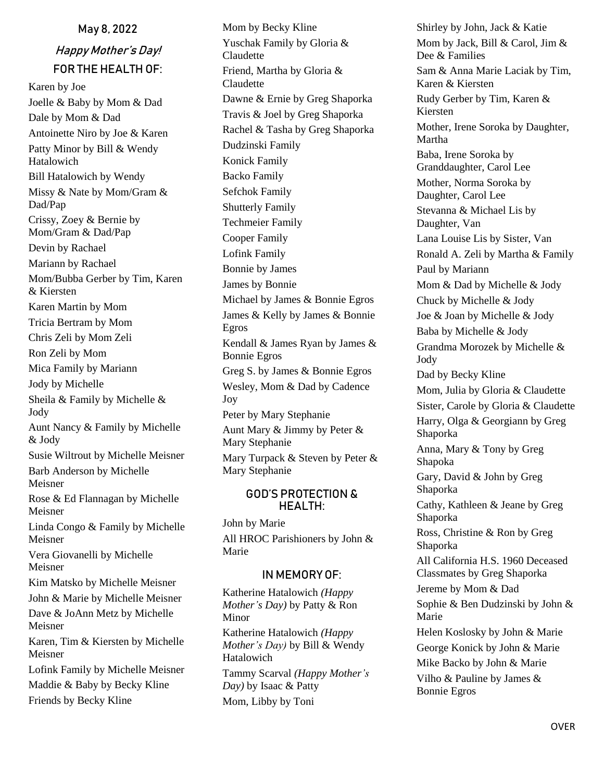# May 8, 2022 Happy Mother's Day! FOR THE HEALTH OF:

Karen by Joe Joelle & Baby by Mom & Dad Dale by Mom & Dad Antoinette Niro by Joe & Karen Patty Minor by Bill & Wendy Hatalowich Bill Hatalowich by Wendy Missy & Nate by Mom/Gram & Dad/Pap Crissy, Zoey & Bernie by Mom/Gram & Dad/Pap Devin by Rachael Mariann by Rachael Mom/Bubba Gerber by Tim, Karen & Kiersten Karen Martin by Mom Tricia Bertram by Mom Chris Zeli by Mom Zeli Ron Zeli by Mom Mica Family by Mariann Jody by Michelle Sheila & Family by Michelle & Jody Aunt Nancy & Family by Michelle & Jody Susie Wiltrout by Michelle Meisner Barb Anderson by Michelle Meisner Rose & Ed Flannagan by Michelle Meisner Linda Congo & Family by Michelle Meisner Vera Giovanelli by Michelle Meisner Kim Matsko by Michelle Meisner John & Marie by Michelle Meisner Dave & JoAnn Metz by Michelle Meisner Karen, Tim & Kiersten by Michelle Meisner Lofink Family by Michelle Meisner Maddie & Baby by Becky Kline

Friends by Becky Kline

Mom by Becky Kline Yuschak Family by Gloria & Claudette Friend, Martha by Gloria & **Claudette** Dawne & Ernie by Greg Shaporka Travis & Joel by Greg Shaporka Rachel & Tasha by Greg Shaporka Dudzinski Family Konick Family Backo Family Sefchok Family Shutterly Family Techmeier Family Cooper Family Lofink Family Bonnie by James James by Bonnie Michael by James & Bonnie Egros James & Kelly by James & Bonnie Egros Kendall & James Ryan by James & Bonnie Egros Greg S. by James & Bonnie Egros Wesley, Mom & Dad by Cadence Joy Peter by Mary Stephanie Aunt Mary & Jimmy by Peter & Mary Stephanie Mary Turpack & Steven by Peter & Mary Stephanie

#### GOD'S PROTECTION & HEALTH:

John by Marie All HROC Parishioners by John & Marie

## IN MEMORY OF:

Katherine Hatalowich *(Happy Mother's Day)* by Patty & Ron Minor Katherine Hatalowich *(Happy Mother's Day)* by Bill & Wendy Hatalowich Tammy Scarval *(Happy Mother's Day)* by Isaac & Patty Mom, Libby by Toni

Shirley by John, Jack & Katie Mom by Jack, Bill & Carol, Jim & Dee & Families Sam & Anna Marie Laciak by Tim, Karen & Kiersten Rudy Gerber by Tim, Karen & Kiersten Mother, Irene Soroka by Daughter, Martha Baba, Irene Soroka by Granddaughter, Carol Lee Mother, Norma Soroka by Daughter, Carol Lee Stevanna & Michael Lis by Daughter, Van Lana Louise Lis by Sister, Van Ronald A. Zeli by Martha & Family Paul by Mariann Mom & Dad by Michelle & Jody Chuck by Michelle & Jody Joe & Joan by Michelle & Jody Baba by Michelle & Jody Grandma Morozek by Michelle & Jody Dad by Becky Kline Mom, Julia by Gloria & Claudette Sister, Carole by Gloria & Claudette Harry, Olga & Georgiann by Greg Shaporka Anna, Mary & Tony by Greg Shapoka Gary, David & John by Greg Shaporka Cathy, Kathleen & Jeane by Greg Shaporka Ross, Christine & Ron by Greg Shaporka All California H.S. 1960 Deceased Classmates by Greg Shaporka Jereme by Mom & Dad Sophie & Ben Dudzinski by John & Marie Helen Koslosky by John & Marie George Konick by John & Marie Mike Backo by John & Marie Vilho & Pauline by James & Bonnie Egros